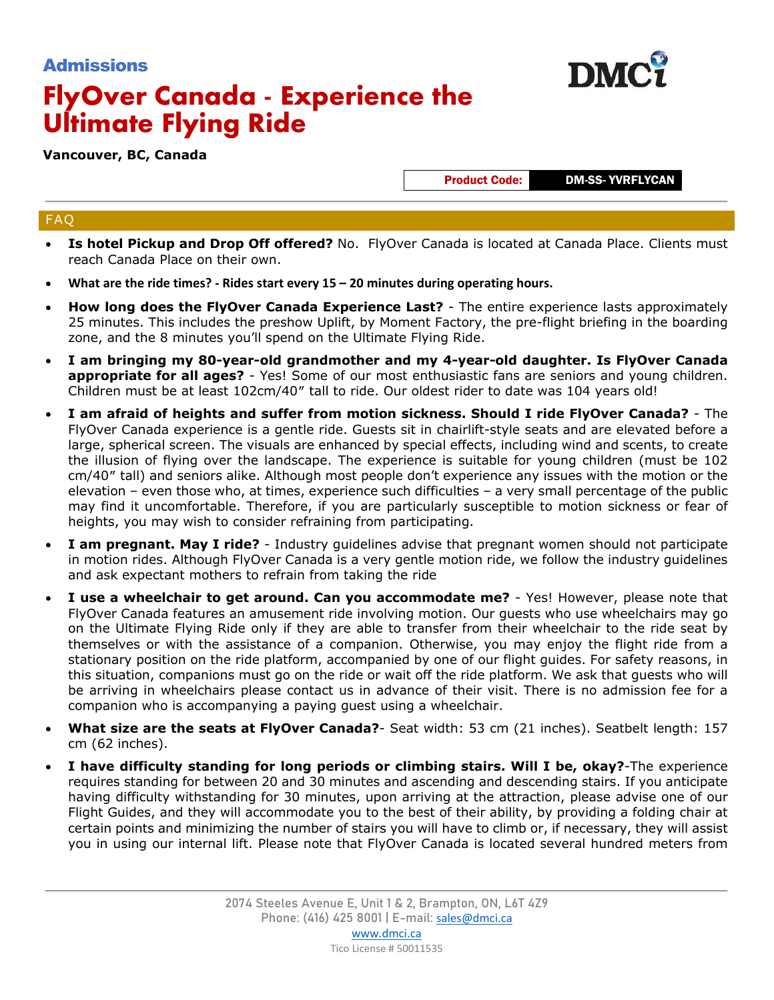## Admissions

# **FlyOver Canada - Experience the Ultimate Flying Ride**

**Vancouver, BC, Canada**

Product Code: DM-SS- YVRFLYCAN

### FAQ

- **Is hotel Pickup and Drop Off offered?** No. FlyOver Canada is located at Canada Place. Clients must reach Canada Place on their own.
- **What are the ride times? - Rides start every 15 – 20 minutes during operating hours.**
- **How long does the FlyOver Canada Experience Last?** The entire experience lasts approximately 25 minutes. This includes the preshow Uplift, by Moment Factory, the pre-flight briefing in the boarding zone, and the 8 minutes you'll spend on the Ultimate Flying Ride.
- **I am bringing my 80-year-old grandmother and my 4-year-old daughter. Is FlyOver Canada appropriate for all ages?** - Yes! Some of our most enthusiastic fans are seniors and young children. Children must be at least 102cm/40″ tall to ride. Our oldest rider to date was 104 years old!
- **I am afraid of heights and suffer from motion sickness. Should I ride FlyOver Canada?** The FlyOver Canada experience is a gentle ride. Guests sit in chairlift-style seats and are elevated before a large, spherical screen. The visuals are enhanced by special effects, including wind and scents, to create the illusion of flying over the landscape. The experience is suitable for young children (must be 102 cm/40″ tall) and seniors alike. Although most people don't experience any issues with the motion or the elevation – even those who, at times, experience such difficulties – a very small percentage of the public may find it uncomfortable. Therefore, if you are particularly susceptible to motion sickness or fear of heights, you may wish to consider refraining from participating.
- **I am pregnant. May I ride?** Industry guidelines advise that pregnant women should not participate in motion rides. Although FlyOver Canada is a very gentle motion ride, we follow the industry guidelines and ask expectant mothers to refrain from taking the ride
- **I use a wheelchair to get around. Can you accommodate me?** Yes! However, please note that FlyOver Canada features an amusement ride involving motion. Our guests who use wheelchairs may go on the Ultimate Flying Ride only if they are able to transfer from their wheelchair to the ride seat by themselves or with the assistance of a companion. Otherwise, you may enjoy the flight ride from a stationary position on the ride platform, accompanied by one of our flight guides. For safety reasons, in this situation, companions must go on the ride or wait off the ride platform. We ask that guests who will be arriving in wheelchairs please contact us in advance of their visit. There is no admission fee for a companion who is accompanying a paying guest using a wheelchair.
- **What size are the seats at FlyOver Canada?** Seat width: 53 cm (21 inches). Seatbelt length: 157 cm (62 inches).
- **I have difficulty standing for long periods or climbing stairs. Will I be, okay?**-The experience requires standing for between 20 and 30 minutes and ascending and descending stairs. If you anticipate having difficulty withstanding for 30 minutes, upon arriving at the attraction, please advise one of our Flight Guides, and they will accommodate you to the best of their ability, by providing a folding chair at certain points and minimizing the number of stairs you will have to climb or, if necessary, they will assist you in using our internal lift. Please note that FlyOver Canada is located several hundred meters from